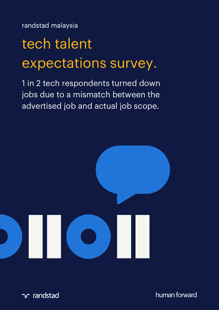randstad malaysia

# tech talent expectations survey.

1 in 2 tech respondents turned down jobs due to a mismatch between the advertised job and actual job scope.



ר randstad

human forward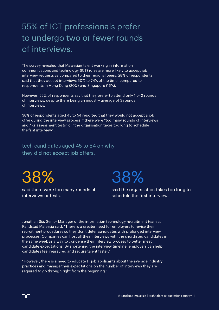# 55% of ICT professionals prefer to undergo two or fewer rounds of interviews.

The survey revealed that Malaysian talent working in information communications and technology (ICT) roles are more likely to accept job interview requests as compared to their regional peers. 28% of respondents said that they accept interviews 50% to 74% of the time, compared to respondents in Hong Kong (20%) and Singapore (16%).

However, 55% of respondents say that they prefer to attend only 1 or 2 rounds of interviews, despite there being an industry average of 3 rounds of interviews.

38% of respondents aged 45 to 54 reported that they would not accept a job offer during the interview process if there were "too many rounds of interviews and / or assessment tests" or "the organisation takes too long to schedule the first interview".

tech candidates aged 45 to 54 on why they did not accept job offers.

38%

ገር

said there were too many rounds of interviews or tests.

38%

said the organisation takes too long to schedule the first interview.

Jonathan Sia, Senior Manager of the information technology recruitment team at Randstad Malaysia said, "There is a greater need for employers to revise their recruitment procedures so they don't deter candidates with prolonged interview processes. Companies can host all their interviews with the shortlisted candidates in the same week as a way to condense their interview process to better meet candidate expectations. By shortening the interview timeline, employers can help candidates feel reassured and secure talent faster."

"However, there is a need to educate IT job applicants about the average industry practices and manage their expectations on the number of interviews they are required to go through right from the beginning."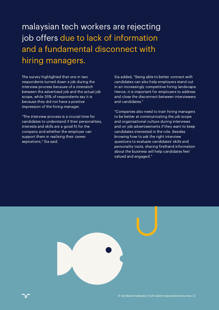# malaysian tech workers are rejecting job offers due to lack of information and a fundamental disconnect with hiring managers.

The survey highlighted that one in two respondents turned down a job during the interview process because of a mismatch between the advertised job and the actual job scope, while 35% of respondents say it is because they did not have a positive impression of the hiring manager.

"The interview process is a crucial time for candidates to understand if their personalities, interests and skills are a good fit for the company and whether the employer can support them in realising their career aspirations," Sia said.

Sia added, "Being able to better connect with candidates can also help employers stand out in an increasingly competitive hiring landscape. Hence, it is important for employers to address and close the disconnect between interviewers and candidates."

"Companies also need to train hiring managers to be better at communicating the job scope and organisational culture during interviews and on job advertisements if they want to keep candidates interested in the role. Besides knowing how to ask the right interview questions to evaluate candidates' skills and personality traits, sharing firsthand information about the business will help candidates feel valued and engaged."

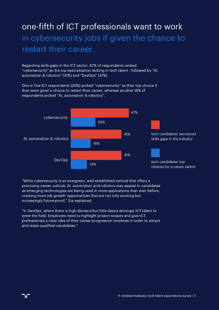# one-fifth of ICT professionals want to work in cybersecurity jobs if given the chance to restart their career.

Regarding skills gaps in the ICT sector, 47% of respondents ranked "cybersecurity" as the top specialisation lacking in tech talent - followed by "AI, automation & robotics" (41%) and "DevOps" (41%).

One in five ICT respondents (20%) picked "cybersecurity" as their top choice if they were given a choice to restart their career, whereas another 16% of respondents picked "AI, automation & robotics".



"While cybersecurity is an evergreen, well-established vertical that offers a promising career outlook, AI, automation and robotics may appeal to candidates as emerging technologies are being used in more applications than ever before, creating more job growth opportunities that are not only exciting but increasingly future-proof," Sia explained.

"In DevOps, where there is high demand but little desire amongst ICT talent to enter the field. Employers need to highlight project scopes and give ICT professionals a clear idea of their career progression timelines in order to attract and retain qualified candidates."

℩Ր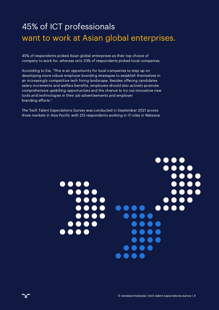# 45% of ICT professionals want to work at Asian global enterprises.

45% of respondents picked Asian global enterprises as their top choice of company to work for, whereas only 33% of respondents picked local companies.

According to Sia, "This is an opportunity for local companies to step up on developing more robust employer branding strategies to establish themselves in an increasingly competitive tech hiring landscape. Besides offering candidates salary increments and welfare benefits, employers should also actively promote comprehensive upskilling opportunities and the chance to try out innovative new tools and technologies in their job advertisements and employer branding efforts."

The Tech Talent Expectations Survey was conducted in September 2021 across three markets in Asia Pacific with 212 respondents working in IT roles in Malaysia.

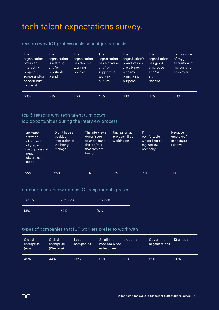### tech talent expectations survey.

### reasons why ICT professionals accept job requests

| <b>The</b><br>organisation<br>offers an<br>interesting<br>project<br>scope and/or '<br>opportunity<br>to upskill | The<br>organisation<br>is a strong<br>and/or<br>reputable<br>brand | <b>The</b><br>organisation<br>has flexible<br>working<br>policies | <b>The</b><br>organisation<br>has a diverse<br>and/ or<br>supportive<br>working<br>culture | <b>The</b><br>organisation's<br>brand values<br>are aligned<br>with my<br>principles/<br>purpose | <b>The</b><br>organisation<br>has good<br>employee<br>and/or<br>alumni<br>reviews | I am unsure<br>of my job<br>security with<br>my current<br>employer |
|------------------------------------------------------------------------------------------------------------------|--------------------------------------------------------------------|-------------------------------------------------------------------|--------------------------------------------------------------------------------------------|--------------------------------------------------------------------------------------------------|-----------------------------------------------------------------------------------|---------------------------------------------------------------------|
| 60%                                                                                                              | 53%                                                                | 46%                                                               | 42%                                                                                        | 38%                                                                                              | 37%                                                                               | 20%                                                                 |

### top 5 reasons why tech talent turn down

### job opportunities during the interview process

| <b>Mismatch</b><br>between<br>advertised<br>job/project<br>description and<br>actual<br>job/project<br>scope | Didn't have a<br>positive<br>impression of<br>the hiring<br>manager | The interviewer<br>doesn't seem<br>to understand<br>the job/role<br>that they are<br>hiring for | Unclear what<br>projects I'll be<br>working on | $\mathsf{I}'\mathsf{m}$<br>comfortable<br>where I am at<br>my current<br>company | <b>Negative</b><br>employee/<br>candidates<br>reviews |
|--------------------------------------------------------------------------------------------------------------|---------------------------------------------------------------------|-------------------------------------------------------------------------------------------------|------------------------------------------------|----------------------------------------------------------------------------------|-------------------------------------------------------|
| 50%                                                                                                          | 35%                                                                 | 33%                                                                                             | 33%                                            | 31%                                                                              | 31%                                                   |

#### number of interview rounds ICT respondents prefer

| 1 round | 2 rounds | 3 rounds |
|---------|----------|----------|
| 13%     | 42%      | 29%      |

### types of companies that ICT workers prefer to work with

| Global<br>enterprise<br>(Asian) | Global<br>enterprise<br>(Western) | Local<br>companies | Small and<br>medium-sized<br>enterprises | <b>Unicorns</b> | Government<br>organisations | Start-ups |
|---------------------------------|-----------------------------------|--------------------|------------------------------------------|-----------------|-----------------------------|-----------|
| 45%                             | 44%                               | 33%                | 32%                                      | 31%             | 31%                         | 20%       |